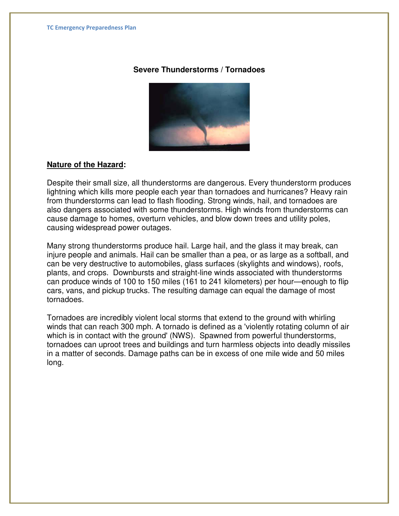# **Severe Thunderstorms / Tornadoes**



## **Nature of the Hazard:**

Despite their small size, all thunderstorms are dangerous. Every thunderstorm produces lightning which kills more people each year than tornadoes and hurricanes? Heavy rain from thunderstorms can lead to flash flooding. Strong winds, hail, and tornadoes are also dangers associated with some thunderstorms. High winds from thunderstorms can cause damage to homes, overturn vehicles, and blow down trees and utility poles, causing widespread power outages.

Many strong thunderstorms produce hail. Large hail, and the glass it may break, can injure people and animals. Hail can be smaller than a pea, or as large as a softball, and can be very destructive to automobiles, glass surfaces (skylights and windows), roofs, plants, and crops. Downbursts and straight-line winds associated with thunderstorms can produce winds of 100 to 150 miles (161 to 241 kilometers) per hour—enough to flip cars, vans, and pickup trucks. The resulting damage can equal the damage of most tornadoes.

Tornadoes are incredibly violent local storms that extend to the ground with whirling winds that can reach 300 mph. A tornado is defined as a 'violently rotating column of air which is in contact with the ground' (NWS). Spawned from powerful thunderstorms, tornadoes can uproot trees and buildings and turn harmless objects into deadly missiles in a matter of seconds. Damage paths can be in excess of one mile wide and 50 miles long.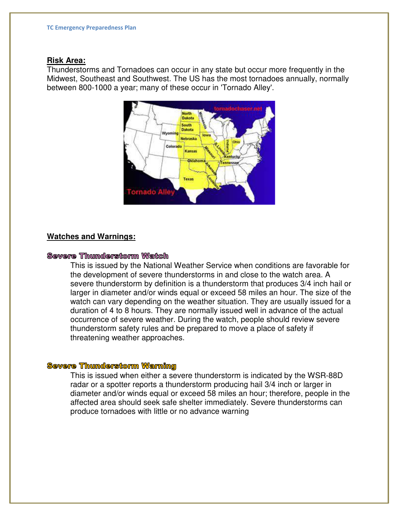#### **Risk Area:**

Thunderstorms and Tornadoes can occur in any state but occur more frequently in the Midwest, Southeast and Southwest. The US has the most tornadoes annually, normally between 800-1000 a year; many of these occur in 'Tornado Alley'.



## **Watches and Warnings:**

## **Severe Thunderstorm Watch**

This is issued by the National Weather Service when conditions are favorable for the development of severe thunderstorms in and close to the watch area. A severe thunderstorm by definition is a thunderstorm that produces 3/4 inch hail or larger in diameter and/or winds equal or exceed 58 miles an hour. The size of the watch can vary depending on the weather situation. They are usually issued for a duration of 4 to 8 hours. They are normally issued well in advance of the actual occurrence of severe weather. During the watch, people should review severe thunderstorm safety rules and be prepared to move a place of safety if threatening weather approaches.

#### **Severe Thunderstorm Warning**

This is issued when either a severe thunderstorm is indicated by the WSR-88D radar or a spotter reports a thunderstorm producing hail 3/4 inch or larger in diameter and/or winds equal or exceed 58 miles an hour; therefore, people in the affected area should seek safe shelter immediately. Severe thunderstorms can produce tornadoes with little or no advance warning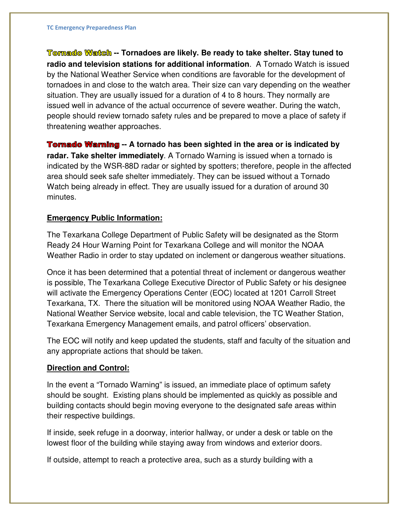Tornado Watch -- Tornadoes are likely. Be ready to take shelter. Stay tuned to **radio and television stations for additional information**.A Tornado Watch is issued by the National Weather Service when conditions are favorable for the development of tornadoes in and close to the watch area. Their size can vary depending on the weather situation. They are usually issued for a duration of 4 to 8 hours. They normally are issued well in advance of the actual occurrence of severe weather. During the watch, people should review tornado safety rules and be prepared to move a place of safety if threatening weather approaches.

**Tornado Warning** -- A tornado has been sighted in the area or is indicated by **radar. Take shelter immediately**. A Tornado Warning is issued when a tornado is indicated by the WSR-88D radar or sighted by spotters; therefore, people in the affected area should seek safe shelter immediately. They can be issued without a Tornado Watch being already in effect. They are usually issued for a duration of around 30 minutes.

# **Emergency Public Information:**

The Texarkana College Department of Public Safety will be designated as the Storm Ready 24 Hour Warning Point for Texarkana College and will monitor the NOAA Weather Radio in order to stay updated on inclement or dangerous weather situations.

Once it has been determined that a potential threat of inclement or dangerous weather is possible, The Texarkana College Executive Director of Public Safety or his designee will activate the Emergency Operations Center (EOC) located at 1201 Carroll Street Texarkana, TX. There the situation will be monitored using NOAA Weather Radio, the National Weather Service website, local and cable television, the TC Weather Station, Texarkana Emergency Management emails, and patrol officers' observation.

The EOC will notify and keep updated the students, staff and faculty of the situation and any appropriate actions that should be taken.

# **Direction and Control:**

In the event a "Tornado Warning" is issued, an immediate place of optimum safety should be sought. Existing plans should be implemented as quickly as possible and building contacts should begin moving everyone to the designated safe areas within their respective buildings.

If inside, seek refuge in a doorway, interior hallway, or under a desk or table on the lowest floor of the building while staying away from windows and exterior doors.

If outside, attempt to reach a protective area, such as a sturdy building with a